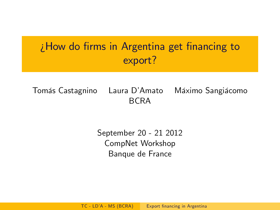# $i$  How do firms in Argentina get financing to export?

Tomás Castagnino Laura D'Amato Máximo Sangiácomo BCRA

> <span id="page-0-0"></span>September 20 - 21 2012 CompNet Workshop Banque de France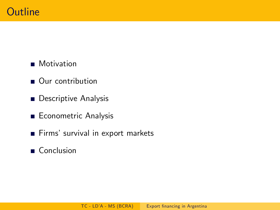## **Motivation**

- Our contribution
- **Descriptive Analysis**
- Econometric Analysis
- Firms' survival in export markets
- Conclusion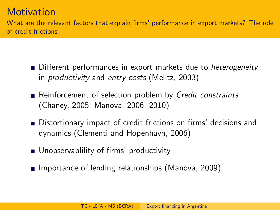# **Motivation**

What are the relevant factors that explain firms' performance in export markets? The role of credit frictions

- Different performances in export markets due to *heterogeneity* in productivity and entry costs (Melitz, 2003)
- Reinforcement of selection problem by Credit constraints (Chaney, 2005; Manova, 2006, 2010)
- Distortionary impact of credit frictions on firms' decisions and dynamics (Clementi and Hopenhayn, 2006)
- Unobservablility of firms' productivity
- Importance of lending relationships (Manova, 2009)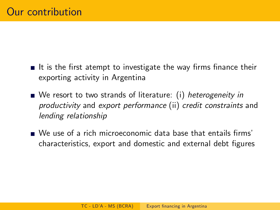- It is the first atempt to investigate the way firms finance their exporting activity in Argentina
- We resort to two strands of literature: (i) heterogeneity in productivity and export performance (ii) credit constraints and lending relationship
- $\blacksquare$  We use of a rich microeconomic data base that entails firms characteristics, export and domestic and external debt figures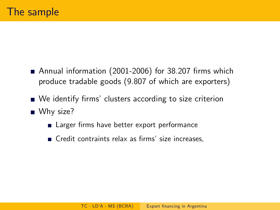- Annual information  $(2001-2006)$  for 38.207 firms which produce tradable goods (9.807 of which are exporters)
- We identify firms' clusters according to size criterion ■ Why size?
	- Larger firms have better export performance
	- $\blacksquare$  Credit contraints relax as firms' size increases,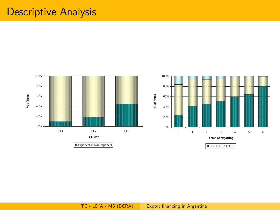# Descriptive Analysis

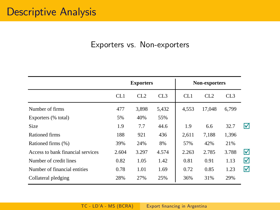### Exporters vs. Non-exporters

|                                   | <b>Exporters</b> |       |       | Non-exporters |        |                 |   |
|-----------------------------------|------------------|-------|-------|---------------|--------|-----------------|---|
|                                   | CL1              | CL2   | CL3   | CL1           | CL2    | CL <sub>3</sub> |   |
| Number of firms                   | 477              | 3.898 | 5,432 | 4.553         | 17.048 | 6.799           |   |
| Exporters (% total)               | 5%               | 40%   | 55%   |               |        |                 |   |
| Size                              | 1.9              | 7.7   | 44.6  | 1.9           | 6.6    | 32.7            | M |
| Rationed firms                    | 188              | 921   | 436   | 2,611         | 7,188  | 1,396           |   |
| Rationed firms (%)                | 39%              | 24%   | 8%    | 57%           | 42%    | 21%             |   |
| Access to bank financial services | 2.604            | 3.297 | 4.574 | 2.263         | 2.785  | 3.788           | ☑ |
| Number of credit lines            | 0.82             | 1.05  | 1.42  | 0.81          | 0.91   | 1.13            | ⊠ |
| Number of financial entities      | 0.78             | 1.01  | 1.69  | 0.72          | 0.85   | 1.23            | ☑ |
| Collateral pledging               | 28%              | 27%   | 25%   | 36%           | 31%    | 29%             |   |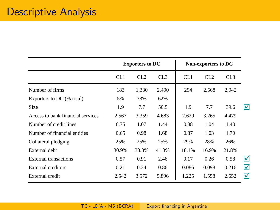|                                   | <b>Exporters to DC</b> |                 |       |       | Non-exporters to DC |                 |   |
|-----------------------------------|------------------------|-----------------|-------|-------|---------------------|-----------------|---|
|                                   | CL1                    | CL <sub>2</sub> | CL3   | CL1   | CL2                 | CL <sub>3</sub> |   |
| Number of firms                   | 183                    | 1,330           | 2,490 | 294   | 2,568               | 2,942           |   |
| Exporters to DC (% total)         | 5%                     | 33%             | 62%   |       |                     |                 |   |
| Size                              | 1.9                    | 7.7             | 50.5  | 1.9   | 7.7                 | 39.6            | м |
| Access to bank financial services | 2.567                  | 3.359           | 4.683 | 2.629 | 3.265               | 4.479           |   |
| Number of credit lines            | 0.75                   | 1.07            | 1.44  | 0.88  | 1.04                | 1.40            |   |
| Number of financial entities      | 0.65                   | 0.98            | 1.68  | 0.87  | 1.03                | 1.70            |   |
| Collateral pledging               | 25%                    | 25%             | 25%   | 29%   | 28%                 | 26%             |   |
| External debt                     | 30.9%                  | 33.3%           | 41.3% | 18.1% | 16.9%               | 21.8%           |   |
| <b>External transactions</b>      | 0.57                   | 0.91            | 2.46  | 0.17  | 0.26                | 0.58            | ☑ |
| External creditors                | 0.21                   | 0.34            | 0.86  | 0.086 | 0.098               | 0.216           | ☑ |
| External credit                   | 2.542                  | 3.572           | 5.896 | 1.225 | 1.558               | 2.652           | ☑ |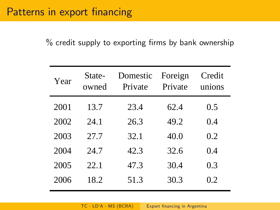# Patterns in export financing

 $%$  credit supply to exporting firms by bank ownership

| Year | State-<br>owned | Domestic<br>Private | Foreign<br>Private | Credit<br>unions |
|------|-----------------|---------------------|--------------------|------------------|
| 2001 | 13.7            | 23.4                | 62.4               | 0.5              |
| 2002 | 24.1            | 26.3                | 49.2               | 0.4              |
| 2003 | 27.7            | 32.1                | 40.0               | 0.2              |
| 2004 | 24.7            | 42.3                | 32.6               | 0.4              |
| 2005 | 22.1            | 47.3                | 30.4               | 0.3              |
| 2006 | 18.2            | 51.3                | 30.3               | 02               |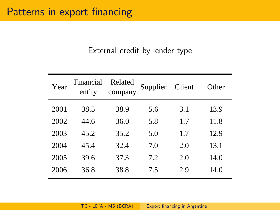## External credit by lender type

| Financial<br>entity | Related<br>company | Supplier | Client | Other |
|---------------------|--------------------|----------|--------|-------|
| 38.5                | 38.9               | 5.6      | 3.1    | 13.9  |
| 44.6                | 36.0               | 5.8      | 1.7    | 11.8  |
| 45.2                | 35.2               | 5.0      | 1.7    | 12.9  |
| 45.4                | 32.4               | 7.0      | 2.0    | 13.1  |
| 39.6                | 37.3               | 7.2      | 2.0    | 14.0  |
| 36.8                | 38.8               | 7.5      | 2.9    | 14.0  |
|                     |                    |          |        |       |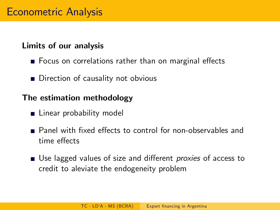## Limits of our analysis

- $\blacksquare$  Focus on correlations rather than on marginal effects
- Direction of causality not obvious

## The estimation methodology

- **Linear probability model**
- Panel with fixed effects to control for non-observables and time effects
- Use lagged values of size and different *proxies* of access to credit to aleviate the endogeneity problem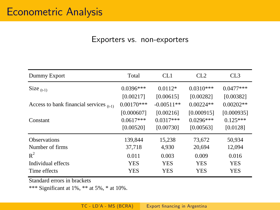#### Exporters vs. non-exporters

| Dummy Export                                 | Total        | CL <sub>1</sub> | CL2         | CL3         |
|----------------------------------------------|--------------|-----------------|-------------|-------------|
| Size $_{(t-1)}$                              | $0.0396***$  | $0.0112*$       | $0.0310***$ | $0.0477***$ |
|                                              | [0.00217]    | [0.00615]       | [0.00282]   | [0.00382]   |
| Access to bank financial services $_{(t-1)}$ | $0.00170***$ | $-0.00511**$    | $0.00224**$ | $0.00202**$ |
|                                              | [0.000607]   | [0.00216]       | [0.000915]  | [0.000935]  |
| Constant                                     | $0.0617***$  | $0.0317***$     | $0.0296***$ | $0.125***$  |
|                                              | [0.00520]    | [0.00730]       | [0.00563]   | [0.0128]    |
| <b>Observations</b>                          | 139,844      | 15,238          | 73,672      | 50,934      |
| Number of firms                              | 37,718       | 4,930           | 20,694      | 12,094      |
| $R^2$                                        | 0.011        | 0.003           | 0.009       | 0.016       |
| Individual effects                           | <b>YES</b>   | <b>YES</b>      | <b>YES</b>  | <b>YES</b>  |
| Time effects                                 | YES          | <b>YES</b>      | YES         | <b>YES</b>  |

Standard errors in brackets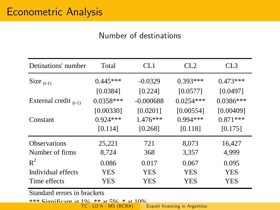## Number of destinations

| Detinations' number        | Total       | CL1         | CL2         | CL <sub>3</sub> |
|----------------------------|-------------|-------------|-------------|-----------------|
| Size $_{(t-1)}$            | $0.445***$  | $-0.0329$   | $0.393***$  | $0.473***$      |
|                            | [0.0384]    | [0.224]     | [0.0577]    | [0.0497]        |
| External credit $_{(t-1)}$ | $0.0358***$ | $-0.000688$ | $0.0254***$ | $0.0386***$     |
|                            | [0.00330]   | [0.0201]    | [0.00554]   | [0.00409]       |
| Constant                   | $0.924***$  | $1.476***$  | $0.994***$  | $0.871***$      |
|                            | [0.114]     | [0.268]     | [0.118]     | [0.175]         |
| <b>Observations</b>        | 25,221      | 721         | 8,073       | 16,427          |
| Number of firms            | 8,724       | 368         | 3,357       | 4.999           |
| $R^2$                      | 0.086       | 0.017       | 0.067       | 0.095           |
| Individual effects         | YES         | <b>YES</b>  | <b>YES</b>  | <b>YES</b>      |
| Time effects               | YES         | YES         | YES         | YES             |

Standard errors in brackets

\*\*\* Significant at 1%, \*\* at 5%, \* at 10%. TC - LDíA - MS (BCRA) [Export Önancing in Argentina](#page-0-0)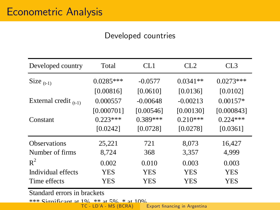## Developed countries

| Developed country          | Total       | CL1        | CL <sub>2</sub> | CL3         |
|----------------------------|-------------|------------|-----------------|-------------|
| Size $_{(t-1)}$            | $0.0285***$ | $-0.0577$  | $0.0341**$      | $0.0273***$ |
|                            | [0.00816]   | [0.0610]   | [0.0136]        | [0.0102]    |
| External credit $_{(t-1)}$ | 0.000557    | $-0.00648$ | $-0.00213$      | $0.00157*$  |
|                            | [0.000701]  | [0.00546]  | [0.00130]       | [0.000843]  |
| Constant                   | $0.223***$  | $0.389***$ | $0.210***$      | $0.224***$  |
|                            | [0.0242]    | [0.0728]   | [0.0278]        | [0.0361]    |
| <b>Observations</b>        | 25,221      | 721        | 8,073           | 16,427      |
| Number of firms            | 8,724       | 368        | 3,357           | 4.999       |
| $R^2$                      | 0.002       | 0.010      | 0.003           | 0.003       |
| Individual effects         | YES         | <b>YES</b> | <b>YES</b>      | <b>YES</b>  |
| Time effects               | YES         | YES        | YES             | YES         |

Standard errors in brackets

\*\*\* Significant at 1%, \*\* at 5%, \* at 10%. TC - LDíA - MS (BCRA) [Export Önancing in Argentina](#page-0-0)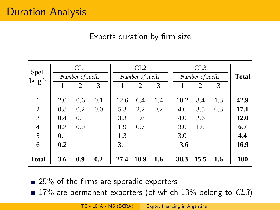## Exports duration by firm size

| Spell<br>length                         |                                        | CL <sub>1</sub><br>Number of spells<br>$\mathfrak{D}$ | 3          |                                         | CL2<br>Number of spells<br>2 | 3          |                                          | CL3<br>Number of spells<br>2 | 3          | <b>Total</b>                               |
|-----------------------------------------|----------------------------------------|-------------------------------------------------------|------------|-----------------------------------------|------------------------------|------------|------------------------------------------|------------------------------|------------|--------------------------------------------|
| 1<br>2<br>3<br>$\overline{4}$<br>5<br>6 | 2.0<br>0.8<br>0.4<br>0.2<br>0.1<br>0.2 | 0.6<br>0.2<br>0.1<br>0.0                              | 0.1<br>0.0 | 12.6<br>5.3<br>3.3<br>1.9<br>1.3<br>3.1 | 6.4<br>2.2<br>1.6<br>0.7     | 1.4<br>0.2 | 10.2<br>4.6<br>4.0<br>3.0<br>3.0<br>13.6 | 8.4<br>3.5<br>2.6<br>1.0     | 1.3<br>0.3 | 42.9<br>17.1<br>12.0<br>6.7<br>4.4<br>16.9 |
| <b>Total</b>                            | 3.6                                    | 0.9                                                   | 0.2        | 27.4                                    | 10.9                         | 1.6        | 38.3                                     | 15.5                         | 1.6        | 100                                        |

 $\blacksquare$  25% of the firms are sporadic exporters

 $\blacksquare$  17% are permanent exporters (of which 13% belong to CL3)

TC - LD'A - MS (BCRA) Export financing in Argentina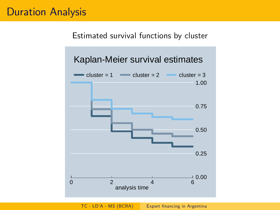# Duration Analysis

#### Estimated survival functions by cluster

## Kaplan-Meier survival estimates



TC - LD'A - MS (BCRA) Export financing in Argentina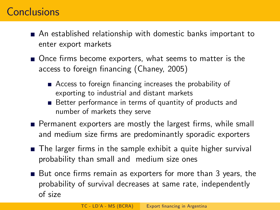# **Conclusions**

- An established relationship with domestic banks important to enter export markets
- $\blacksquare$  Once firms become exporters, what seems to matter is the access to foreign financing (Chaney, 2005)
	- $\blacksquare$  Access to foreign financing increases the probability of exporting to industrial and distant markets
	- Better performance in terms of quantity of products and number of markets they serve
- Permanent exporters are mostly the largest firms, while small and medium size firms are predominantly sporadic exporters
- $\blacksquare$  The larger firms in the sample exhibit a quite higher survival probability than small and medium size ones
- $\blacksquare$  But once firms remain as exporters for more than 3 years, the probability of survival decreases at same rate, independently of size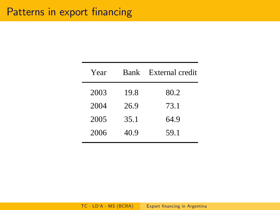| Year | <b>Bank</b> | External credit |
|------|-------------|-----------------|
| 2003 | 19.8        | 80.2            |
| 2004 | 26.9        | 73.1            |
| 2005 | 35.1        | 64.9            |
| 2006 | 40.9        | 59.1            |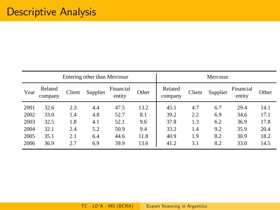| Entering other than Mercosur |                    |        |          |                     |       |                    | Mercosur |          |                     |       |
|------------------------------|--------------------|--------|----------|---------------------|-------|--------------------|----------|----------|---------------------|-------|
| Year                         | Related<br>company | Client | Supplier | Financial<br>entity | Other | Related<br>company | Client   | Supplier | Financial<br>entity | Other |
| 2001                         | 32.6               | 2.3    | 4.4      | 47.5                | 13.2  | 45.1               | 4.7      | 6.7      | 29.4                | 14.1  |
| 2002                         | 33.0               | 1.4    | 4.8      | 52.7                | 8.1   | 39.2               | 2.2      | 6.9      | 34.6                | 17.1  |
| 2003                         | 32.5               | 1.8    | 4.1      | 52.1                | 9.6   | 37.8               | 1.3      | 6.2      | 36.9                | 17.8  |
| 2004                         | 32.1               | 2.4    | 5.2      | 50.9                | 9.4   | 33.2               | 1.4      | 9.2      | 35.9                | 20.4  |
| 2005                         | 35.1               | 2.1    | 6.4      | 44.6                | 11.8  | 40.9               | 1.9      | 8.2      | 30.9                | 18.2  |
| 2006                         | 36.9               | 2.7    | 6.9      | 39.9                | 13.6  | 41.2               | 3.1      | 8.2      | 33.0                | 14.5  |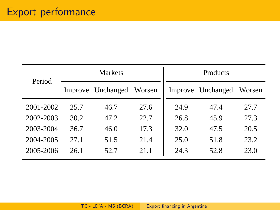| Period    |      | <b>Markets</b>    |        | Products |                   |        |
|-----------|------|-------------------|--------|----------|-------------------|--------|
|           |      | Improve Unchanged | Worsen |          | Improve Unchanged | Worsen |
| 2001-2002 | 25.7 | 46.7              | 27.6   | 24.9     | 47.4              | 27.7   |
| 2002-2003 | 30.2 | 47.2              | 22.7   | 26.8     | 45.9              | 27.3   |
| 2003-2004 | 36.7 | 46.0              | 17.3   | 32.0     | 47.5              | 20.5   |
| 2004-2005 | 27.1 | 51.5              | 21.4   | 25.0     | 51.8              | 23.2   |
| 2005-2006 | 26.1 | 52.7              | 21.1   | 24.3     | 52.8              | 23.0   |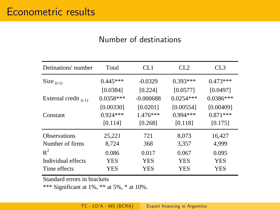#### Number of destinations

| Detinations' number        | Total       | CL <sub>1</sub> | CL2         | CL3         |
|----------------------------|-------------|-----------------|-------------|-------------|
| Size $_{(t-1)}$            | $0.445***$  | $-0.0329$       | $0.393***$  | $0.473***$  |
|                            | [0.0384]    | [0.224]         | [0.0577]    | [0.0497]    |
| External credit $_{(t-1)}$ | $0.0358***$ | $-0.000688$     | $0.0254***$ | $0.0386***$ |
|                            | [0.00330]   | [0.0201]        | [0.00554]   | [0.00409]   |
| Constant                   | $0.924***$  | $1.476***$      | $0.994***$  | $0.871***$  |
|                            | [0.114]     | [0.268]         | [0.118]     | [0.175]     |
| <b>Observations</b>        | 25,221      | 721             | 8,073       | 16,427      |
| Number of firms            | 8,724       | 368             | 3,357       | 4,999       |
| $\mathbb{R}^2$             | 0.086       | 0.017           | 0.067       | 0.095       |
| Individual effects         | <b>YES</b>  | YES             | <b>YES</b>  | <b>YES</b>  |
| Time effects               | YES         | <b>YES</b>      | <b>YES</b>  | <b>YES</b>  |
|                            |             |                 |             |             |

Standard errors in brackets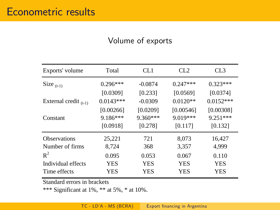#### Volume of exports

| Exports' volume            | Total       | CL1        | CL2        | CL3         |
|----------------------------|-------------|------------|------------|-------------|
| Size $_{(t-1)}$            | $0.296***$  | $-0.0874$  | $0.247***$ | $0.323***$  |
|                            | [0.0309]    | [0.233]    | [0.0569]   | [0.0374]    |
| External credit $_{(t-1)}$ | $0.0143***$ | $-0.0309$  | $0.0120**$ | $0.0152***$ |
|                            | [0.00266]   | [0.0209]   | [0.00546]  | [0.00308]   |
| Constant                   | $9.186***$  | $9.360***$ | $9.019***$ | $9.251***$  |
|                            | [0.0918]    | [0.278]    | [0.117]    | [0.132]     |
| <b>Observations</b>        | 25,221      | 721        | 8,073      | 16,427      |
| Number of firms            | 8,724       | 368        | 3,357      | 4,999       |
| $R^2$                      | 0.095       | 0.053      | 0.067      | 0.110       |
| Individual effects         | <b>YES</b>  | <b>YES</b> | <b>YES</b> | <b>YES</b>  |
| Time effects               | YES         | <b>YES</b> | <b>YES</b> | <b>YES</b>  |

Standard errors in brackets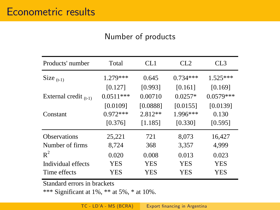#### Number of products

| Products' number           | Total       | CL1       | CL2        | CL <sub>3</sub> |
|----------------------------|-------------|-----------|------------|-----------------|
| Size $_{(t-1)}$            | $1.279***$  | 0.645     | $0.734***$ | $1.525***$      |
|                            | [0.127]     | [0.993]   | [0.161]    | [0.169]         |
| External credit $_{(t-1)}$ | $0.0511***$ | 0.00710   | $0.0257*$  | $0.0579***$     |
|                            | [0.0109]    | [0.0888]  | [0.0155]   | [0.0139]        |
| Constant                   | $0.972***$  | $2.812**$ | $1.996***$ | 0.130           |
|                            | [0.376]     | [1.185]   | [0.330]    | [0.595]         |
| <b>Observations</b>        | 25,221      | 721       | 8.073      | 16,427          |
| Number of firms            | 8,724       | 368       | 3,357      | 4,999           |
| $R^2$                      | 0.020       | 0.008     | 0.013      | 0.023           |
| Individual effects         | YES         | YES       | YES        | <b>YES</b>      |
| Time effects               | YES         | YES       | YES        | YES             |
|                            |             |           |            |                 |

Standard errors in brackets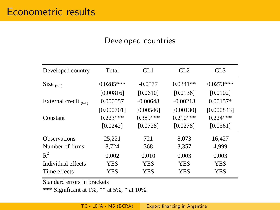### Developed countries

| Developed country          | Total       | CL <sub>1</sub> | CL2        | CL3         |
|----------------------------|-------------|-----------------|------------|-------------|
| Size $_{(t-1)}$            | $0.0285***$ | $-0.0577$       | $0.0341**$ | $0.0273***$ |
|                            | [0.00816]   | [0.0610]        | [0.0136]   | [0.0102]    |
| External credit $_{(t-1)}$ | 0.000557    | $-0.00648$      | $-0.00213$ | $0.00157*$  |
|                            | [0.000701]  | [0.00546]       | [0.00130]  | [0.000843]  |
| Constant                   | $0.223***$  | $0.389***$      | $0.210***$ | $0.224***$  |
|                            | [0.0242]    | [0.0728]        | [0.0278]   | [0.0361]    |
| <b>Observations</b>        | 25,221      | 721             | 8.073      | 16,427      |
| Number of firms            | 8,724       | 368             | 3,357      | 4,999       |
| $R^2$                      | 0.002       | 0.010           | 0.003      | 0.003       |
| Individual effects         | <b>YES</b>  | <b>YES</b>      | <b>YES</b> | <b>YES</b>  |
| Time effects               | YES         | <b>YES</b>      | <b>YES</b> | <b>YES</b>  |

Standard errors in brackets